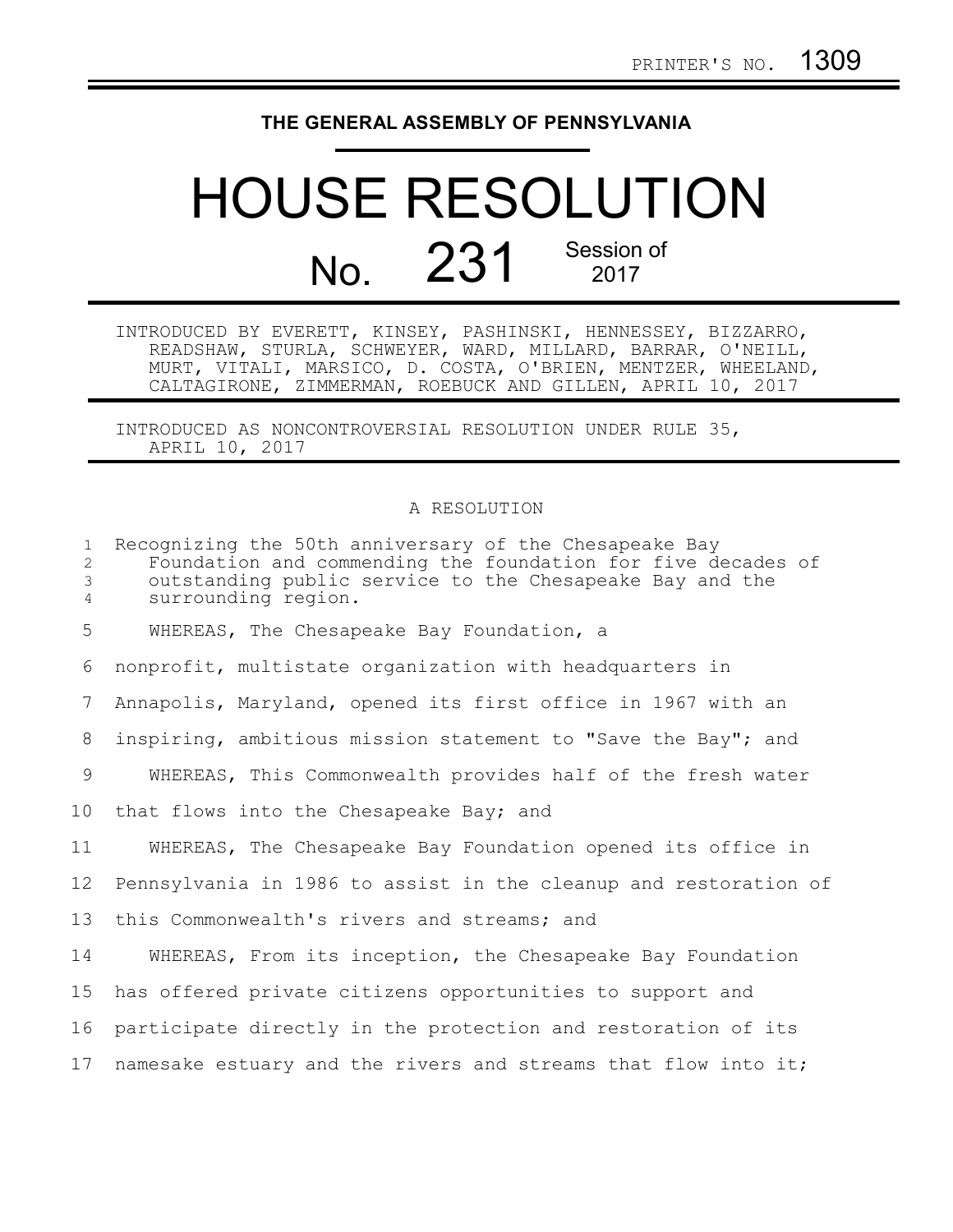## **THE GENERAL ASSEMBLY OF PENNSYLVANIA**

## HOUSE RESOLUTION No. 231 Session of 2017

INTRODUCED BY EVERETT, KINSEY, PASHINSKI, HENNESSEY, BIZZARRO, READSHAW, STURLA, SCHWEYER, WARD, MILLARD, BARRAR, O'NEILL, MURT, VITALI, MARSICO, D. COSTA, O'BRIEN, MENTZER, WHEELAND, CALTAGIRONE, ZIMMERMAN, ROEBUCK AND GILLEN, APRIL 10, 2017

INTRODUCED AS NONCONTROVERSIAL RESOLUTION UNDER RULE 35, APRIL 10, 2017

## A RESOLUTION

| $\mathbf{1}$<br>$\overline{2}$<br>$\mathfrak{Z}$<br>$\overline{4}$ | Recognizing the 50th anniversary of the Chesapeake Bay<br>Foundation and commending the foundation for five decades of<br>outstanding public service to the Chesapeake Bay and the<br>surrounding region. |
|--------------------------------------------------------------------|-----------------------------------------------------------------------------------------------------------------------------------------------------------------------------------------------------------|
| 5                                                                  | WHEREAS, The Chesapeake Bay Foundation, a                                                                                                                                                                 |
| 6                                                                  | nonprofit, multistate organization with headquarters in                                                                                                                                                   |
| 7                                                                  | Annapolis, Maryland, opened its first office in 1967 with an                                                                                                                                              |
| 8                                                                  | inspiring, ambitious mission statement to "Save the Bay"; and                                                                                                                                             |
| 9                                                                  | WHEREAS, This Commonwealth provides half of the fresh water                                                                                                                                               |
| 10 <sub>o</sub>                                                    | that flows into the Chesapeake Bay; and                                                                                                                                                                   |
| 11                                                                 | WHEREAS, The Chesapeake Bay Foundation opened its office in                                                                                                                                               |
| 12                                                                 | Pennsylvania in 1986 to assist in the cleanup and restoration of                                                                                                                                          |
| 13                                                                 | this Commonwealth's rivers and streams; and                                                                                                                                                               |
| 14                                                                 | WHEREAS, From its inception, the Chesapeake Bay Foundation                                                                                                                                                |
| 15                                                                 | has offered private citizens opportunities to support and                                                                                                                                                 |
| 16                                                                 | participate directly in the protection and restoration of its                                                                                                                                             |
| 17                                                                 | namesake estuary and the rivers and streams that flow into it;                                                                                                                                            |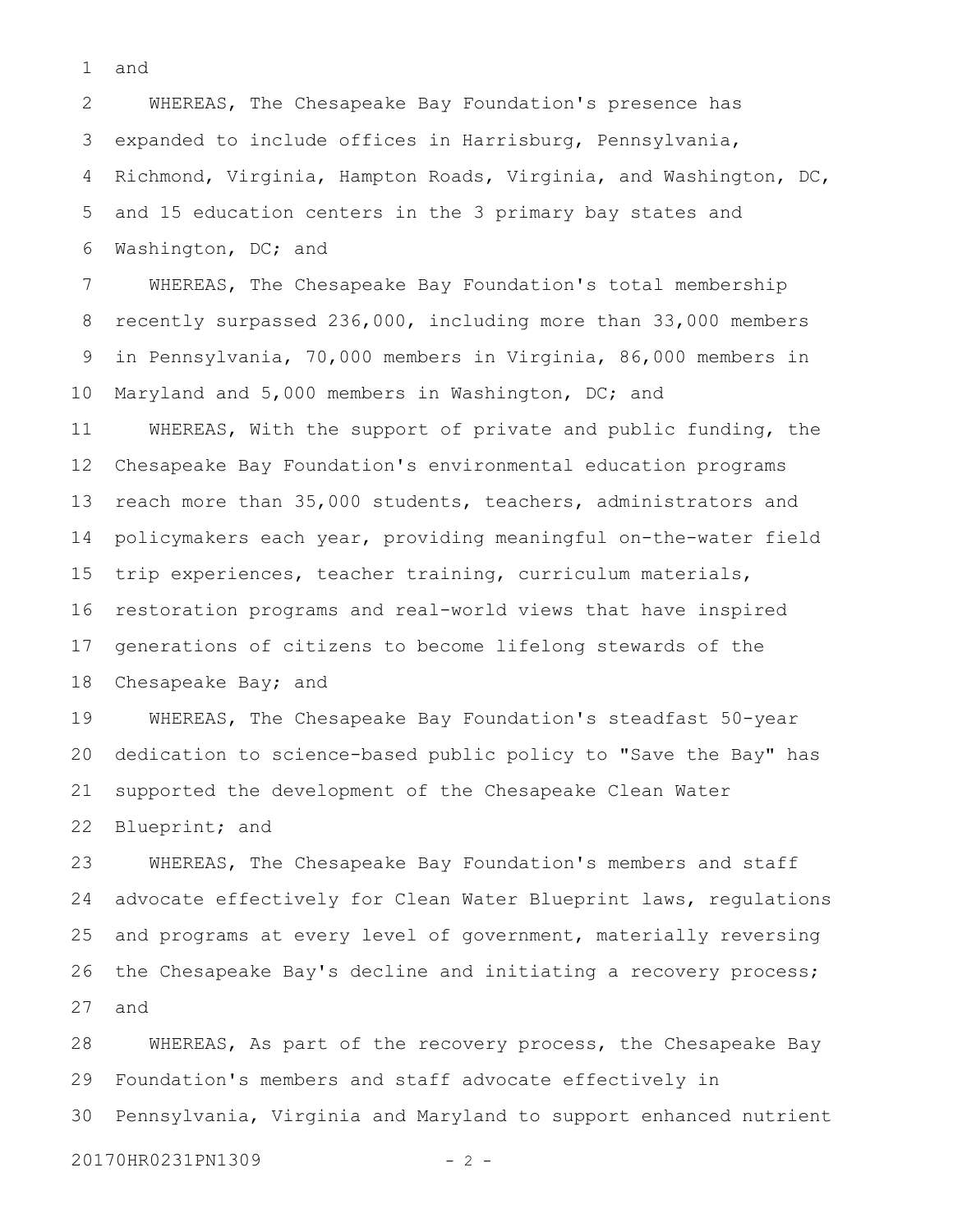and 1

WHEREAS, The Chesapeake Bay Foundation's presence has expanded to include offices in Harrisburg, Pennsylvania, Richmond, Virginia, Hampton Roads, Virginia, and Washington, DC, and 15 education centers in the 3 primary bay states and Washington, DC; and 2 3 4 5 6

WHEREAS, The Chesapeake Bay Foundation's total membership recently surpassed 236,000, including more than 33,000 members in Pennsylvania, 70,000 members in Virginia, 86,000 members in Maryland and 5,000 members in Washington, DC; and WHEREAS, With the support of private and public funding, the Chesapeake Bay Foundation's environmental education programs reach more than 35,000 students, teachers, administrators and policymakers each year, providing meaningful on-the-water field trip experiences, teacher training, curriculum materials, restoration programs and real-world views that have inspired generations of citizens to become lifelong stewards of the Chesapeake Bay; and 7 8 9 10 11 12 13 14 15 16 17 18

WHEREAS, The Chesapeake Bay Foundation's steadfast 50-year dedication to science-based public policy to "Save the Bay" has supported the development of the Chesapeake Clean Water Blueprint; and 19 20 21 22

WHEREAS, The Chesapeake Bay Foundation's members and staff advocate effectively for Clean Water Blueprint laws, regulations and programs at every level of government, materially reversing the Chesapeake Bay's decline and initiating a recovery process; and 23 24 25 26 27

WHEREAS, As part of the recovery process, the Chesapeake Bay Foundation's members and staff advocate effectively in Pennsylvania, Virginia and Maryland to support enhanced nutrient 20170HR0231PN1309 - 2 - 28 29 30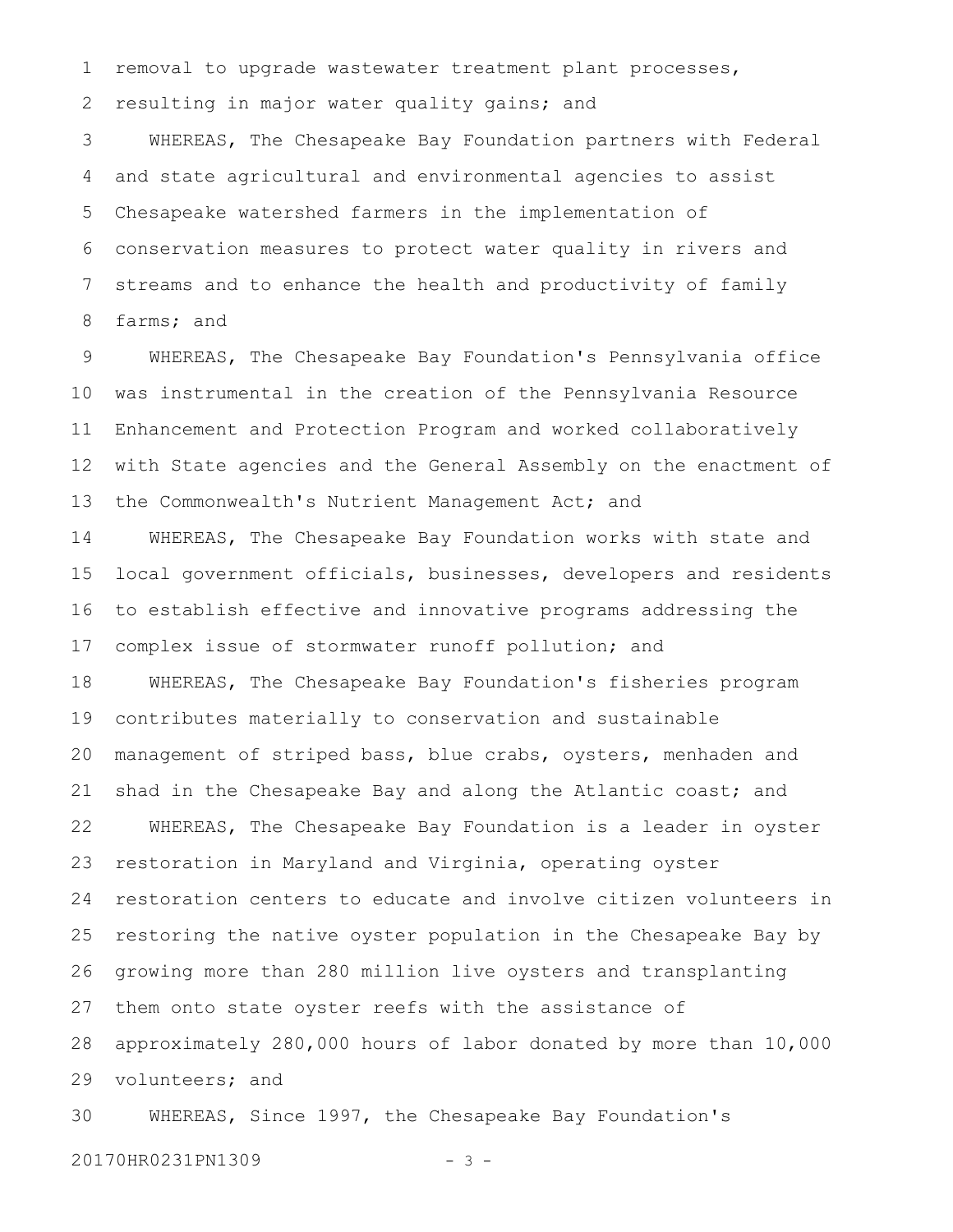removal to upgrade wastewater treatment plant processes, 1

resulting in major water quality gains; and 2

WHEREAS, The Chesapeake Bay Foundation partners with Federal and state agricultural and environmental agencies to assist Chesapeake watershed farmers in the implementation of conservation measures to protect water quality in rivers and streams and to enhance the health and productivity of family farms; and 3 4 5 6 7 8

WHEREAS, The Chesapeake Bay Foundation's Pennsylvania office was instrumental in the creation of the Pennsylvania Resource Enhancement and Protection Program and worked collaboratively with State agencies and the General Assembly on the enactment of the Commonwealth's Nutrient Management Act; and 9 10 11 12 13

WHEREAS, The Chesapeake Bay Foundation works with state and local government officials, businesses, developers and residents to establish effective and innovative programs addressing the complex issue of stormwater runoff pollution; and 14 15 16 17

WHEREAS, The Chesapeake Bay Foundation's fisheries program contributes materially to conservation and sustainable management of striped bass, blue crabs, oysters, menhaden and shad in the Chesapeake Bay and along the Atlantic coast; and WHEREAS, The Chesapeake Bay Foundation is a leader in oyster restoration in Maryland and Virginia, operating oyster restoration centers to educate and involve citizen volunteers in restoring the native oyster population in the Chesapeake Bay by growing more than 280 million live oysters and transplanting them onto state oyster reefs with the assistance of approximately 280,000 hours of labor donated by more than 10,000 volunteers; and 18 19 20 21 22 23 24 25 26 27 28 29

WHEREAS, Since 1997, the Chesapeake Bay Foundation's 30

20170HR0231PN1309 - 3 -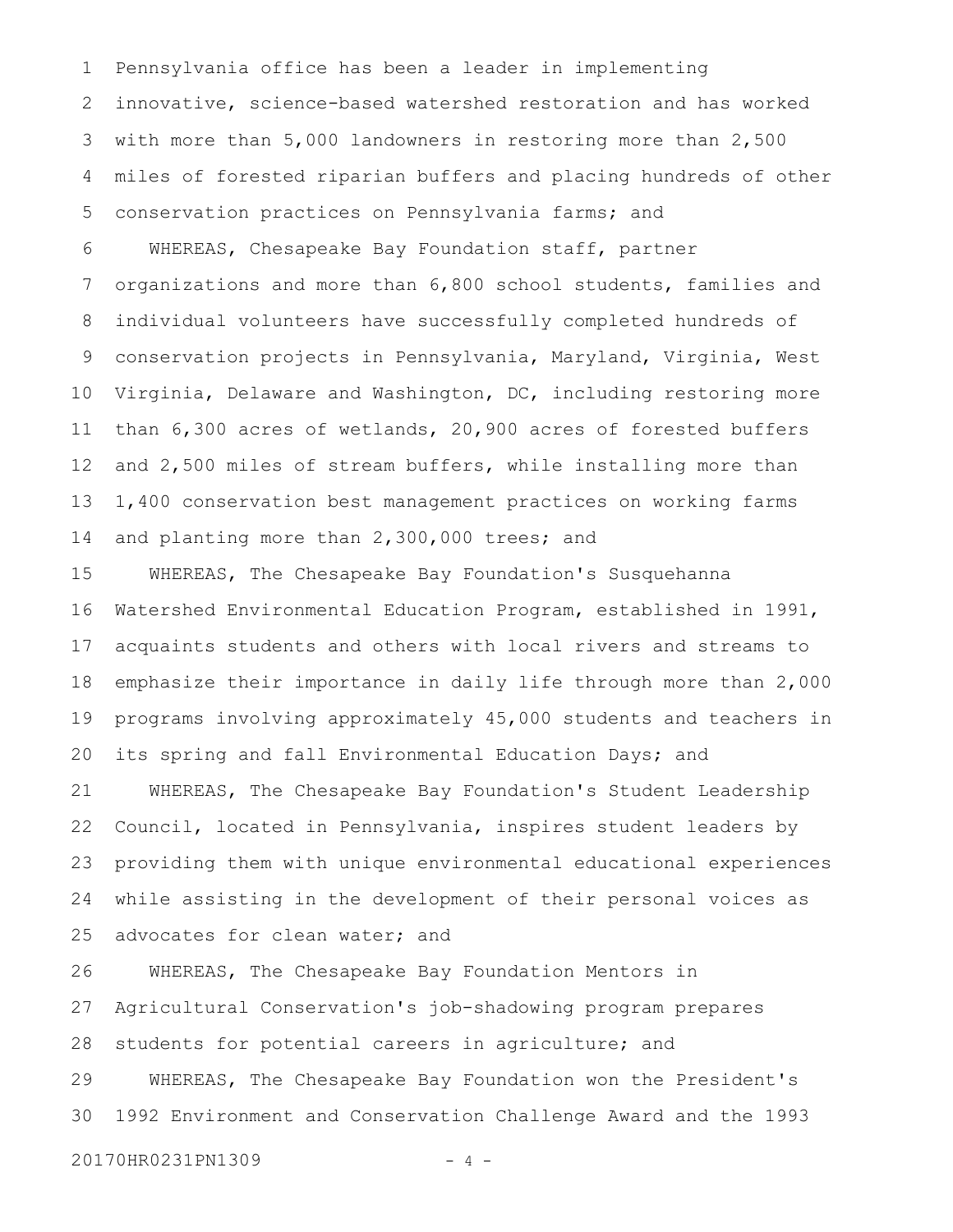Pennsylvania office has been a leader in implementing innovative, science-based watershed restoration and has worked with more than 5,000 landowners in restoring more than 2,500 miles of forested riparian buffers and placing hundreds of other conservation practices on Pennsylvania farms; and 1 2 3 4 5

WHEREAS, Chesapeake Bay Foundation staff, partner organizations and more than 6,800 school students, families and individual volunteers have successfully completed hundreds of conservation projects in Pennsylvania, Maryland, Virginia, West Virginia, Delaware and Washington, DC, including restoring more than 6,300 acres of wetlands, 20,900 acres of forested buffers and 2,500 miles of stream buffers, while installing more than 1,400 conservation best management practices on working farms and planting more than 2,300,000 trees; and 6 7 8 9 10 11 12 13 14

WHEREAS, The Chesapeake Bay Foundation's Susquehanna Watershed Environmental Education Program, established in 1991, acquaints students and others with local rivers and streams to emphasize their importance in daily life through more than 2,000 programs involving approximately 45,000 students and teachers in its spring and fall Environmental Education Days; and WHEREAS, The Chesapeake Bay Foundation's Student Leadership Council, located in Pennsylvania, inspires student leaders by providing them with unique environmental educational experiences while assisting in the development of their personal voices as advocates for clean water; and 15 16 17 18 19 20 21 22 23 24 25

WHEREAS, The Chesapeake Bay Foundation Mentors in Agricultural Conservation's job-shadowing program prepares students for potential careers in agriculture; and WHEREAS, The Chesapeake Bay Foundation won the President's 1992 Environment and Conservation Challenge Award and the 1993 26 27 28 29 30

20170HR0231PN1309 - 4 -